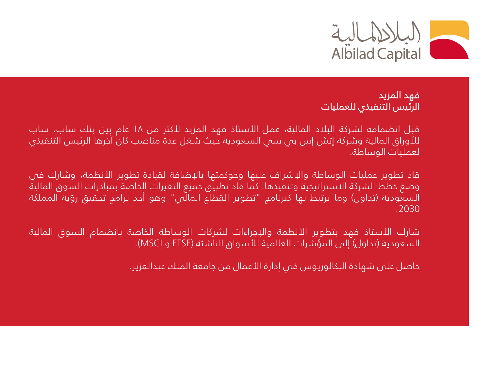

## فهد المزيد الرئيس التنفيذي للعمليات

قبل انضمامه لشركة البالد المالية، عمل األستاذ فهد المزيد ألكثر من ١٨ عام بين بنك ساب، ساب للأوراق المالية وشركة إتش إس بى سى السعودية حيث شغل عدة مناصب كان آخرها الرئيس التنفيذي لعمليات الوساطة.

قاد تطوير عمليات الوساطة والإشراف عليها وحوكمتها بالإضافة لقيادة تطوير الأنظمة، وشارك في وضع خطط الشركة االستراتيجية وتنفيذها. كما قاد تطبيق جميع التغيرات الخاصة بمبادرات السوق المالية السعودية (تداول) وما يرتبط بها كبرنامج "تطوير القطاع المالّي" وهو أحد برامج تحقيق رؤية المملكة .2030

شارك األستاذ فهد بتطوير األنظمة واإلجراءات لشركات الوساطة الخاصة بانضمام السوق المالية السعودية (تداول) إلى المؤشرات العالمية للأسواق الناشئة (FTSE و MSCI).

حاصل على شهادة البكالوريوس في إدارة األعمال من جامعة الملك عبدالعزيز.